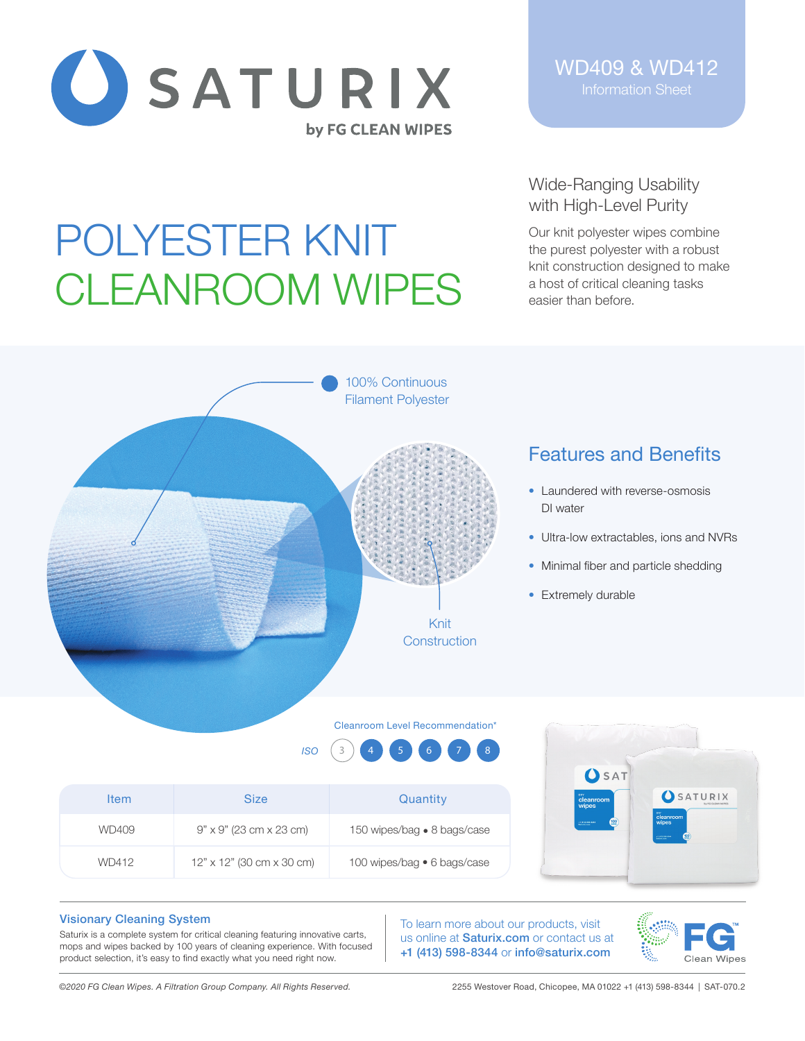

POLYESTER KNIT

WD409 & WD412 Information Sheet

## Wide-Ranging Usability with High-Level Purity

Our knit polyester wipes combine the purest polyester with a robust knit construction designed to make a host of critical cleaning tasks easier than before.

# 100% Continuous Filament Polyester

CLEANROOM WIPES

# Features and Benefits

- Laundered with reverse-osmosis DI water
- Ultra-low extractables, ions and NVRs
- Minimal fiber and particle shedding
- Extremely durable

### Cleanroom Level Recommendation\*

Knit **Construction** 



| <b>Item</b> | <b>Size</b>                           | Quantity                    | cleanroom<br>wipes                   | SATURIX                              |
|-------------|---------------------------------------|-----------------------------|--------------------------------------|--------------------------------------|
| WD409       | $9" \times 9"$ (23 cm $\times$ 23 cm) | 150 wipes/bag • 8 bags/case | 100<br>or prin sie and.<br>Arbeitung | cleanroom<br>wipes<br>1.013.106.8344 |
| WD412       | $12"$ x $12"$ (30 cm x 30 cm)         | 100 wipes/bag • 6 bags/case |                                      |                                      |

### Visionary Cleaning System

Saturix is a complete system for critical cleaning featuring innovative carts, mops and wipes backed by 100 years of cleaning experience. With focused product selection, it's easy to find exactly what you need right now.

To learn more about our products, visit us online at **Saturix.com** or contact us at +1 (413) 598-8344 or info@saturix.com



*©2020 FG Clean Wipes. A Filtration Group Company. All Rights Reserved.* 2255 Westover Road, Chicopee, MA 01022 +1 (413) 598-8344 | SAT-070.2